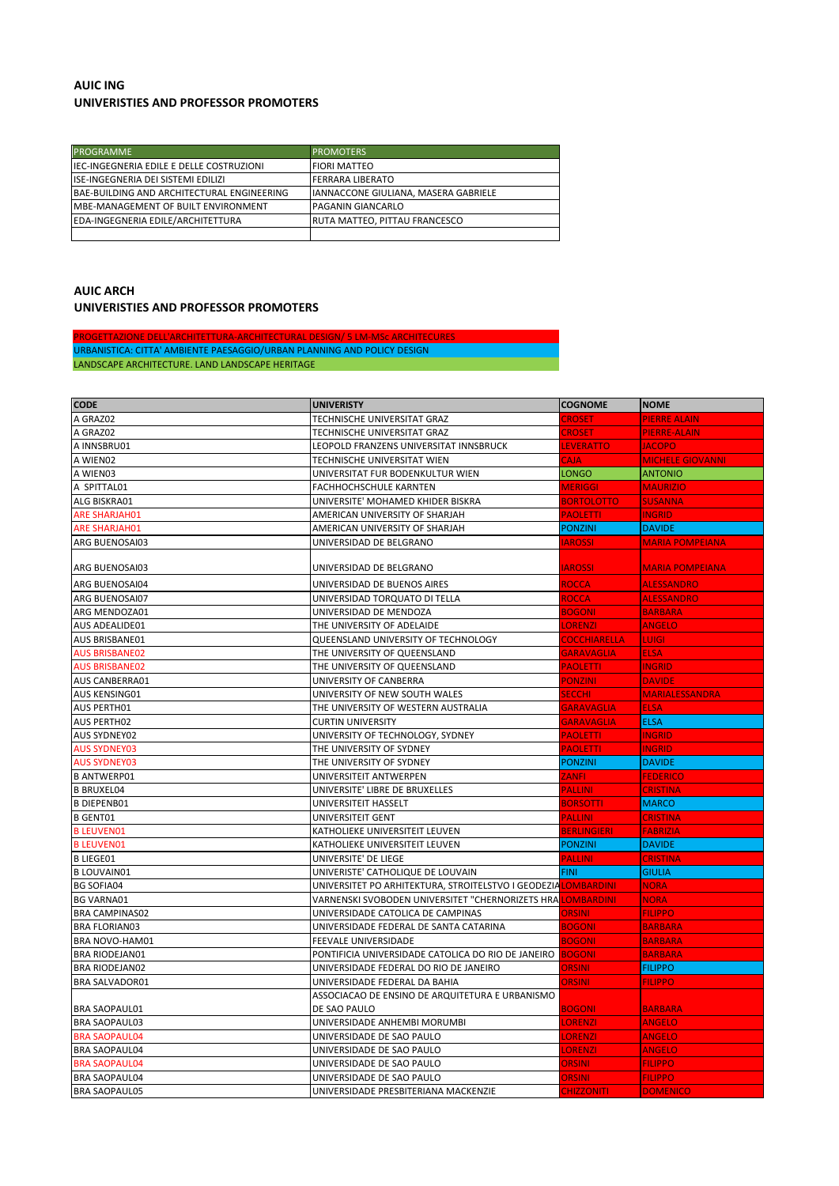## **AUIC ING UNIVERISTIES AND PROFESSOR PROMOTERS**

| <b>PROGRAMME</b>                            | <b>PROMOTERS</b>                      |
|---------------------------------------------|---------------------------------------|
| IEC-INGEGNERIA EDILE E DELLE COSTRUZIONI    | <b>FIORI MATTEO</b>                   |
| <b>IISE-INGEGNERIA DEI SISTEMI EDILIZI</b>  | <b>FERRARA LIBERATO</b>               |
| BAE-BUILDING AND ARCHITECTURAL ENGINEERING  | IIANNACCONE GIULIANA. MASERA GABRIELE |
| <b>IMBE-MANAGEMENT OF BUILT ENVIRONMENT</b> | <b>PAGANIN GIANCARLO</b>              |
| EDA-INGEGNERIA EDILE/ARCHITETTURA           | <b>RUTA MATTEO, PITTAU FRANCESCO</b>  |
|                                             |                                       |

## **AUIC ARCH UNIVERISTIES AND PROFESSOR PROMOTERS**

**ROGETTAZIONE DELL'ARCHITETTURA-ARCHITECTURAL DESIGN/ 5 LM-MSc ARCHITE** URBANISTICA: CITTA' AMBIENTE PAESAGGIO/URBAN PLANNING AND POLICY DESIGN LANDSCAPE ARCHITECTURE. LAND LANDSCAPE HERITAGE

| <b>CODE</b>           | <b>UNIVERISTY</b>                                                           | <b>COGNOME</b>     | <b>NOME</b>             |
|-----------------------|-----------------------------------------------------------------------------|--------------------|-------------------------|
| A GRAZ02              | TECHNISCHE UNIVERSITAT GRAZ                                                 | <b>CROSET</b>      | <b>PIERRE ALAIN</b>     |
| A GRAZ02              | TECHNISCHE UNIVERSITAT GRAZ                                                 | CROSET             | PIERRE-ALAIN            |
| A INNSBRU01           | LEOPOLD FRANZENS UNIVERSITAT INNSBRUCK                                      | <b>LEVERATTO</b>   | <b>JACOPO</b>           |
| A WIEN02              | TECHNISCHE UNIVERSITAT WIEN                                                 | <b>CAJA</b>        | <b>MICHELE GIOVANNI</b> |
| A WIEN03              | UNIVERSITAT FUR BODENKULTUR WIEN                                            | <b>LONGO</b>       | <b>ANTONIO</b>          |
| A SPITTAL01           | FACHHOCHSCHULE KARNTEN                                                      | MERIGGI            | <b>MAURIZIO</b>         |
| ALG BISKRA01          | UNIVERSITE' MOHAMED KHIDER BISKRA                                           | <b>BORTOLOTTO</b>  | <b>SUSANNA</b>          |
| <b>ARE SHARJAH01</b>  | AMERICAN UNIVERSITY OF SHARJAH                                              | <b>PAOLETTI</b>    | <b>INGRID</b>           |
| <b>ARE SHARJAH01</b>  | AMERICAN UNIVERSITY OF SHARJAH                                              | <b>PONZINI</b>     | <b>DAVIDE</b>           |
| ARG BUENOSAI03        | UNIVERSIDAD DE BELGRANO                                                     | <b>IAROSSI</b>     | <b>MARIA POMPEIANA</b>  |
| ARG BUENOSAI03        | UNIVERSIDAD DE BELGRANO                                                     | <b>AROSSI</b>      | <b>MARIA POMPEIANA</b>  |
| ARG BUENOSAI04        | UNIVERSIDAD DE BUENOS AIRES                                                 | <b>ROCCA</b>       | <b>ALESSANDRO</b>       |
| ARG BUENOSAI07        | UNIVERSIDAD TORQUATO DI TELLA                                               | <b>ROCCA</b>       | <b>ALESSANDRO</b>       |
| ARG MENDOZA01         | UNIVERSIDAD DE MENDOZA                                                      | <b>BOGONI</b>      | <b>BARBARA</b>          |
| AUS ADEALIDE01        | THE UNIVERSITY OF ADELAIDE                                                  | <b>ORENZI</b>      | <b>ANGELO</b>           |
| AUS BRISBANE01        | QUEENSLAND UNIVERSITY OF TECHNOLOGY                                         | COCCHIARELLA       | <b>LUIGI</b>            |
| <b>AUS BRISBANE02</b> | THE UNIVERSITY OF QUEENSLAND                                                | <b>GARAVAGLIA</b>  | <b>ELSA</b>             |
| <b>AUS BRISBANE02</b> | THE UNIVERSITY OF QUEENSLAND                                                | <b>PAOLETTI</b>    | <b>INGRID</b>           |
| AUS CANBERRA01        | UNIVERSITY OF CANBERRA                                                      | <b>PONZINI</b>     | <b>DAVIDE</b>           |
| AUS KENSING01         | UNIVERSITY OF NEW SOUTH WALES                                               | <b>SECCHI</b>      | <b>MARIALESSANDRA</b>   |
| AUS PERTH01           | THE UNIVERSITY OF WESTERN AUSTRALIA                                         | <b>GARAVAGLIA</b>  | <b>ELSA</b>             |
| <b>AUS PERTH02</b>    | <b>CURTIN UNIVERSITY</b>                                                    | <b>GARAVAGLIA</b>  | <b>ELSA</b>             |
| <b>AUS SYDNEY02</b>   | UNIVERSITY OF TECHNOLOGY, SYDNEY                                            | <b>PAOLETTI</b>    | <b>INGRID</b>           |
| <b>AUS SYDNEY03</b>   | THE UNIVERSITY OF SYDNEY                                                    | <b>PAOLETTI</b>    | <b>INGRID</b>           |
| <b>AUS SYDNEY03</b>   | THE UNIVERSITY OF SYDNEY                                                    | <b>PONZINI</b>     | <b>DAVIDE</b>           |
| <b>B ANTWERP01</b>    | UNIVERSITEIT ANTWERPEN                                                      | <b>ZANFI</b>       | <b>FEDERICO</b>         |
| <b>B BRUXEL04</b>     | UNIVERSITE' LIBRE DE BRUXELLES                                              | <b>PALLINI</b>     | <b>CRISTINA</b>         |
| <b>B DIEPENB01</b>    | UNIVERSITEIT HASSELT                                                        | <b>BORSOTTI</b>    | <b>MARCO</b>            |
| <b>B GENT01</b>       | UNIVERSITEIT GENT                                                           | <b>PALLINI</b>     | <b>CRISTINA</b>         |
| <b>B LEUVEN01</b>     | KATHOLIEKE UNIVERSITEIT LEUVEN                                              | <b>BERLINGIERI</b> | <b>FABRIZIA</b>         |
| <b>B LEUVEN01</b>     | KATHOLIEKE UNIVERSITEIT LEUVEN                                              | <b>PONZINI</b>     | <b>DAVIDE</b>           |
| <b>B LIEGE01</b>      | UNIVERSITE' DE LIEGE                                                        | <b>PALLINI</b>     | <b>CRISTINA</b>         |
| <b>B LOUVAIN01</b>    | UNIVERISTE' CATHOLIQUE DE LOUVAIN                                           | FINI.              | <b>GIULIA</b>           |
| <b>BG SOFIA04</b>     | UNIVERSITET PO ARHITEKTURA, STROITELSTVO I GEODEZIA <mark>LOMBARDINI</mark> |                    | <b>NORA</b>             |
| <b>BG VARNA01</b>     | VARNENSKI SVOBODEN UNIVERSITET "CHERNORIZETS HRA                            | <b>LOMBARDINI</b>  | <b>NORA</b>             |
| <b>BRA CAMPINAS02</b> | UNIVERSIDADE CATOLICA DE CAMPINAS                                           | ORSINI             | <b>FILIPPO</b>          |
| <b>BRA FLORIAN03</b>  | UNIVERSIDADE FEDERAL DE SANTA CATARINA                                      | <b>BOGONI</b>      | <b>BARBARA</b>          |
| BRA NOVO-HAM01        | FEEVALE UNIVERSIDADE                                                        | <b>BOGONI</b>      | <b>BARBARA</b>          |
| <b>BRA RIODEJAN01</b> | PONTIFICIA UNIVERSIDADE CATOLICA DO RIO DE JANEIRO                          | <b>BOGONI</b>      | <b>BARBARA</b>          |
| <b>BRA RIODEJAN02</b> | UNIVERSIDADE FEDERAL DO RIO DE JANEIRO                                      | <b>ORSINI</b>      | <b>FILIPPO</b>          |
| <b>BRA SALVADOR01</b> | UNIVERSIDADE FEDERAL DA BAHIA                                               | <b>ORSINI</b>      | <b>FILIPPO</b>          |
|                       | ASSOCIACAO DE ENSINO DE ARQUITETURA E URBANISMO                             |                    |                         |
| <b>BRA SAOPAUL01</b>  | DE SAO PAULO                                                                | <b>BOGONI</b>      | <b>BARBARA</b>          |
| <b>BRA SAOPAUL03</b>  | UNIVERSIDADE ANHEMBI MORUMBI                                                | <b>LORENZI</b>     | <b>ANGELO</b>           |
| <b>BRA SAOPAUL04</b>  | UNIVERSIDADE DE SAO PAULO                                                   | <b>ORENZI</b>      | <b>ANGELO</b>           |
| <b>BRA SAOPAUL04</b>  | UNIVERSIDADE DE SAO PAULO                                                   | <b>LORENZI</b>     | ANGELO                  |
| <b>BRA SAOPAUL04</b>  | UNIVERSIDADE DE SAO PAULO                                                   | ORSINI             | <b>FILIPPO</b>          |
| <b>BRA SAOPAUL04</b>  | UNIVERSIDADE DE SAO PAULO                                                   | <b>ORSINI</b>      | <b>FILIPPO</b>          |
| <b>BRA SAOPAUL05</b>  | UNIVERSIDADE PRESBITERIANA MACKENZIE                                        | <b>CHIZZONITI</b>  | <b>DOMENICO</b>         |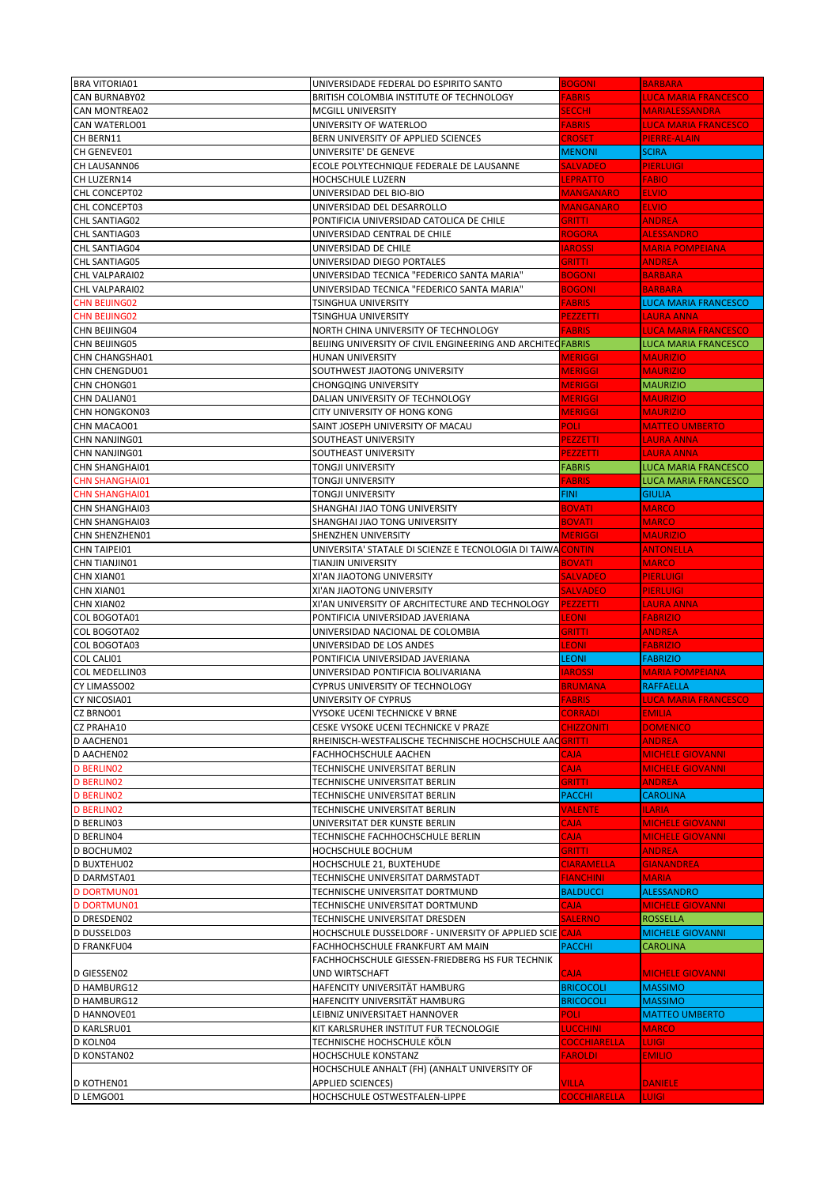| <b>BRA VITORIA01</b>  | UNIVERSIDADE FEDERAL DO ESPIRITO SANTO                      | <b>BOGONI</b>       | <b>BARBARA</b>              |
|-----------------------|-------------------------------------------------------------|---------------------|-----------------------------|
|                       |                                                             |                     |                             |
| CAN BURNABY02         | BRITISH COLOMBIA INSTITUTE OF TECHNOLOGY                    | <b>FABRIS</b>       | <b>LUCA MARIA FRANCESCO</b> |
| CAN MONTREA02         | MCGILL UNIVERSITY                                           | <b>SECCHI</b>       | <b>MARIALESSANDRA</b>       |
| CAN WATERLO01         | UNIVERSITY OF WATERLOO                                      | <b>FABRIS</b>       | <b>LUCA MARIA FRANCESCO</b> |
| CH BERN11             | BERN UNIVERSITY OF APPLIED SCIENCES                         | CROSET              | <b>PIERRE-ALAIN</b>         |
| CH GENEVE01           | UNIVERSITE' DE GENEVE                                       | <b>MENONI</b>       | <b>SCIRA</b>                |
| CH LAUSANN06          |                                                             |                     |                             |
|                       | ECOLE POLYTECHNIQUE FEDERALE DE LAUSANNE                    | <b>SALVADEO</b>     | <b>PIERLUIGI</b>            |
| CH LUZERN14           | HOCHSCHULE LUZERN                                           | LEPRATTO            | <b>FABIO</b>                |
| CHL CONCEPT02         | UNIVERSIDAD DEL BIO-BIO                                     | <b>MANGANARO</b>    | <b>ELVIO</b>                |
| CHL CONCEPT03         | UNIVERSIDAD DEL DESARROLLO                                  | <b>MANGANARO</b>    | <b>ELVIO</b>                |
| CHL SANTIAG02         | PONTIFICIA UNIVERSIDAD CATOLICA DE CHILE                    | <b>GRITTI</b>       | <b>ANDREA</b>               |
| CHL SANTIAG03         |                                                             | <b>ROGORA</b>       | <b>ALESSANDRO</b>           |
|                       | UNIVERSIDAD CENTRAL DE CHILE                                |                     |                             |
| CHL SANTIAG04         | UNIVERSIDAD DE CHILE                                        | <b>IAROSSI</b>      | <b>MARIA POMPEIANA</b>      |
| CHL SANTIAG05         | UNIVERSIDAD DIEGO PORTALES                                  | <b>GRITTI</b>       | <b>ANDREA</b>               |
| CHL VALPARAI02        | UNIVERSIDAD TECNICA "FEDERICO SANTA MARIA"                  | <b>BOGONI</b>       | <b>BARBARA</b>              |
| CHL VALPARAI02        | UNIVERSIDAD TECNICA "FEDERICO SANTA MARIA"                  | <b>BOGONI</b>       | <b>BARBARA</b>              |
|                       |                                                             |                     |                             |
| <b>CHN BEIJING02</b>  | TSINGHUA UNIVERSITY                                         | <b>FABRIS</b>       | <b>LUCA MARIA FRANCESCO</b> |
| <b>CHN BEIJING02</b>  | TSINGHUA UNIVERSITY                                         | PEZZETTI            | <b>LAURA ANNA</b>           |
| CHN BEIJING04         | NORTH CHINA UNIVERSITY OF TECHNOLOGY                        | <b>FABRIS</b>       | <b>LUCA MARIA FRANCESCO</b> |
| CHN BEIJING05         | BEIJING UNIVERSITY OF CIVIL ENGINEERING AND ARCHITECFABRIS  |                     | <b>LUCA MARIA FRANCESCO</b> |
| <b>CHN CHANGSHA01</b> | HUNAN UNIVERSITY                                            | <b>MERIGGI</b>      | <b>MAURIZIO</b>             |
|                       |                                                             |                     |                             |
| <b>CHN CHENGDU01</b>  | SOUTHWEST JIAOTONG UNIVERSITY                               | <b>MERIGGI</b>      | <b>MAURIZIO</b>             |
| CHN CHONG01           | <b>CHONGQING UNIVERSITY</b>                                 | <b>MERIGGI</b>      | <b>MAURIZIO</b>             |
| CHN DALIAN01          | DALIAN UNIVERSITY OF TECHNOLOGY                             | <b>MERIGGI</b>      | <b>MAURIZIO</b>             |
| <b>CHN HONGKON03</b>  | CITY UNIVERSITY OF HONG KONG                                | <b>MERIGGI</b>      | <b>MAURIZIO</b>             |
| CHN MACAO01           | SAINT JOSEPH UNIVERSITY OF MACAU                            | <b>POLI</b>         | <b>MATTEO UMBERTO</b>       |
|                       |                                                             |                     | <b>LAURA ANNA</b>           |
| CHN NANJING01         | SOUTHEAST UNIVERSITY                                        | PEZZETTI            |                             |
| CHN NANJING01         | SOUTHEAST UNIVERSITY                                        | PEZZETTI            | <b>LAURA ANNA</b>           |
| <b>CHN SHANGHAI01</b> | <b>TONGJI UNIVERSITY</b>                                    | <b>FABRIS</b>       | <b>LUCA MARIA FRANCESCO</b> |
| <b>CHN SHANGHAI01</b> | TONGJI UNIVERSITY                                           | FABRIS              | <b>LUCA MARIA FRANCESCO</b> |
| <b>CHN SHANGHAI01</b> | TONGJI UNIVERSITY                                           | <b>FINI</b>         | <b>GIULIA</b>               |
| <b>CHN SHANGHAI03</b> | SHANGHAI JIAO TONG UNIVERSITY                               | <b>BOVATI</b>       | <b>MARCO</b>                |
|                       |                                                             |                     |                             |
| <b>CHN SHANGHAI03</b> | SHANGHAI JIAO TONG UNIVERSITY                               | <b>BOVATI</b>       | <b>MARCO</b>                |
| CHN SHENZHEN01        | SHENZHEN UNIVERSITY                                         | <b>MERIGGI</b>      | <b>MAURIZIO</b>             |
| CHN TAIPEI01          | UNIVERSITA' STATALE DI SCIENZE E TECNOLOGIA DI TAIWA CONTIN |                     | <b>ANTONELLA</b>            |
| CHN TIANJIN01         | TIANJIN UNIVERSITY                                          | <b>BOVATI</b>       | <b>MARCO</b>                |
| <b>CHN XIAN01</b>     | XI'AN JIAOTONG UNIVERSITY                                   | <b>SALVADEO</b>     | <b>PIERLUIGI</b>            |
|                       |                                                             |                     |                             |
| CHN XIAN01            | XI'AN JIAOTONG UNIVERSITY                                   | <b>SALVADEO</b>     | <b>PIERLUIGI</b>            |
| CHN XIAN02            | XI'AN UNIVERSITY OF ARCHITECTURE AND TECHNOLOGY             | <b>PEZZETTI</b>     | <b>LAURA ANNA</b>           |
| COL BOGOTA01          | PONTIFICIA UNIVERSIDAD JAVERIANA                            | <b>LEONI</b>        | <b>FABRIZIO</b>             |
|                       |                                                             |                     |                             |
| COL BOGOTA02          | UNIVERSIDAD NACIONAL DE COLOMBIA                            | GRITTI              | <b>ANDREA</b>               |
|                       |                                                             |                     |                             |
| <b>COL BOGOTA03</b>   | UNIVERSIDAD DE LOS ANDES                                    | <b>LEONI</b>        | <b>FABRIZIO</b>             |
| COL CALI01            | PONTIFICIA UNIVERSIDAD JAVERIANA                            | <b>LEONI</b>        | <b>FABRIZIO</b>             |
| COL MEDELLIN03        | UNIVERSIDAD PONTIFICIA BOLIVARIANA                          | <b>IAROSSI</b>      | <b>MARIA POMPEIANA</b>      |
| CY LIMASSO02          | CYPRUS UNIVERSITY OF TECHNOLOGY                             | <b>BRUMANA</b>      | <b>RAFFAELLA</b>            |
| CY NICOSIA01          | UNIVERSITY OF CYPRUS                                        | <b>FABRIS</b>       | <b>LUCA MARIA FRANCESCO</b> |
|                       |                                                             |                     |                             |
| CZ BRNO01             | VYSOKE UCENI TECHNICKE V BRNE                               | <b>CORRADI</b>      | <b>EMILIA</b>               |
| CZ PRAHA10            | CESKE VYSOKE UCENI TECHNICKE V PRAZE                        | <b>CHIZZONITI</b>   | <b>DOMENICO</b>             |
| D AACHEN01            | RHEINISCH-WESTFALISCHE TECHNISCHE HOCHSCHULE AACGRITTI      |                     | <b>ANDREA</b>               |
| D AACHEN02            | FACHHOCHSCHULE AACHEN                                       | <b>AJA</b>          | <b>MICHELE GIOVANNI</b>     |
| <b>D BERLINO2</b>     | TECHNISCHE UNIVERSITAT BERLIN                               | <b>CAJA</b>         | <b>MICHELE GIOVANNI</b>     |
| <b>D BERLINO2</b>     | TECHNISCHE UNIVERSITAT BERLIN                               | <b>GRITTI</b>       | <b>ANDREA</b>               |
|                       |                                                             |                     |                             |
| <b>D BERLINO2</b>     | TECHNISCHE UNIVERSITAT BERLIN                               | <b>PACCHI</b>       | <b>CAROLINA</b>             |
| <b>D BERLINO2</b>     | TECHNISCHE UNIVERSITAT BERLIN                               | <b>VALENTE</b>      | <b>ILARIA</b>               |
| D BERLINO3            | UNIVERSITAT DER KUNSTE BERLIN                               | CAJA                | <b>MICHELE GIOVANNI</b>     |
| D BERLINO4            | TECHNISCHE FACHHOCHSCHULE BERLIN                            | <b>CAJA</b>         | <b>MICHELE GIOVANNI</b>     |
| D BOCHUM02            | HOCHSCHULE BOCHUM                                           | <b>GRITTI</b>       | <b>ANDREA</b>               |
| <b>D BUXTEHU02</b>    | HOCHSCHULE 21, BUXTEHUDE                                    | <b>CIARAMELLA</b>   | <b>GIANANDREA</b>           |
|                       |                                                             |                     |                             |
| D DARMSTA01           | TECHNISCHE UNIVERSITAT DARMSTADT                            | <b>FIANCHINI</b>    | <b>MARIA</b>                |
| <b>D DORTMUN01</b>    | TECHNISCHE UNIVERSITAT DORTMUND                             | <b>BALDUCCI</b>     | <b>ALESSANDRO</b>           |
| <b>D DORTMUN01</b>    | TECHNISCHE UNIVERSITAT DORTMUND                             | <b>CAJA</b>         | <b>MICHELE GIOVANNI</b>     |
| D DRESDEN02           | TECHNISCHE UNIVERSITAT DRESDEN                              | <b>SALERNO</b>      | <b>ROSSELLA</b>             |
| D DUSSELD03           | HOCHSCHULE DUSSELDORF - UNIVERSITY OF APPLIED SCIE CAJA     |                     | <b>MICHELE GIOVANNI</b>     |
|                       |                                                             |                     |                             |
| D FRANKFU04           | FACHHOCHSCHULE FRANKFURT AM MAIN                            | <b>PACCHI</b>       | <b>CAROLINA</b>             |
|                       | FACHHOCHSCHULE GIESSEN-FRIEDBERG HS FUR TECHNIK             |                     |                             |
| D GIESSEN02           | UND WIRTSCHAFT                                              | <b>CAJA</b>         | <b>MICHELE GIOVANNI</b>     |
| D HAMBURG12           | HAFENCITY UNIVERSITÄT HAMBURG                               | <b>BRICOCOLI</b>    | <b>MASSIMO</b>              |
| D HAMBURG12           | HAFENCITY UNIVERSITÄT HAMBURG                               | <b>BRICOCOLI</b>    | <b>MASSIMO</b>              |
| D HANNOVE01           | LEIBNIZ UNIVERSITAET HANNOVER                               | POLI :              | <b>MATTEO UMBERTO</b>       |
|                       |                                                             |                     |                             |
| D KARLSRU01           | KIT KARLSRUHER INSTITUT FUR TECNOLOGIE                      | <b>LUCCHINI</b>     | <b>MARCO</b>                |
| D KOLN04              | TECHNISCHE HOCHSCHULE KÖLN                                  | <b>COCCHIARELLA</b> | <b>LUIGI</b>                |
| D KONSTAN02           | HOCHSCHULE KONSTANZ                                         | <b>FAROLDI</b>      | <b>EMILIO</b>               |
|                       | HOCHSCHULE ANHALT (FH) (ANHALT UNIVERSITY OF                |                     |                             |
| D KOTHEN01            | <b>APPLIED SCIENCES)</b>                                    | <b>VILLA</b>        | <b>DANIELE</b>              |
| D LEMGO01             | HOCHSCHULE OSTWESTFALEN-LIPPE                               | <b>COCCHIARELLA</b> | <b>LUIGI</b>                |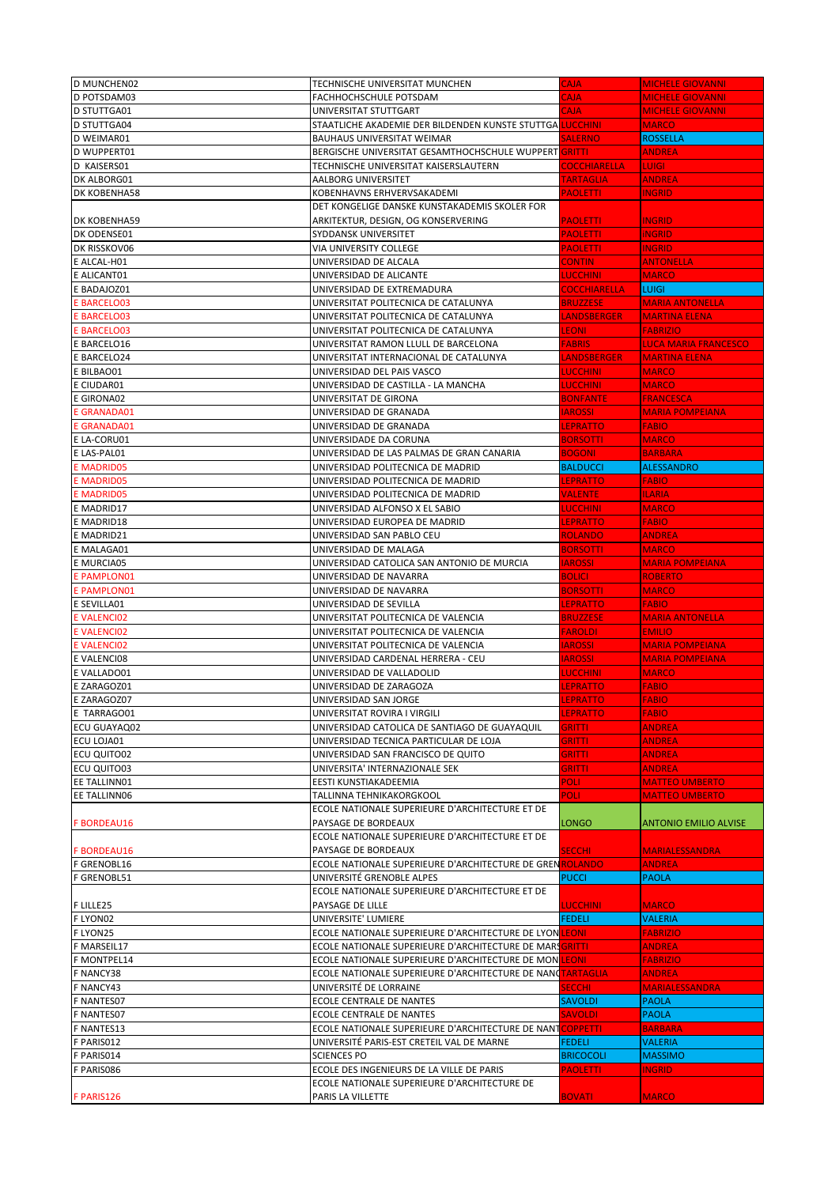| <b>D MUNCHEN02</b>  | TECHNISCHE UNIVERSITAT MUNCHEN                             | CAJA.               | <b>MICHELE GIOVANNI</b>      |
|---------------------|------------------------------------------------------------|---------------------|------------------------------|
| D POTSDAM03         | FACHHOCHSCHULE POTSDAM                                     | CAJA                | <b>MICHELE GIOVANNI</b>      |
| D STUTTGA01         |                                                            | <b>CAJA</b>         | <b>MICHELE GIOVANNI</b>      |
|                     | UNIVERSITAT STUTTGART                                      |                     |                              |
| D STUTTGA04         | STAATLICHE AKADEMIE DER BILDENDEN KUNSTE STUTTGA LUCCHINI  |                     | <b>MARCO</b>                 |
| D WEIMAR01          | <b>BAUHAUS UNIVERSITAT WEIMAR</b>                          | <b>SALERNO</b>      | <b>ROSSELLA</b>              |
| D WUPPERT01         | BERGISCHE UNIVERSITAT GESAMTHOCHSCHULE WUPPERT GRITTL      |                     | <b>ANDREA</b>                |
| D KAISERS01         | TECHNISCHE UNIVERSITAT KAISERSLAUTERN                      | <b>COCCHIARELLA</b> | <b>LUIGI</b>                 |
| DK ALBORG01         | AALBORG UNIVERSITET                                        | <b>TARTAGLIA</b>    | <b>ANDREA</b>                |
| DK KOBENHA58        | KOBENHAVNS ERHVERVSAKADEMI                                 | <b>PAOLETTI</b>     | <b>INGRID</b>                |
|                     | DET KONGELIGE DANSKE KUNSTAKADEMIS SKOLER FOR              |                     |                              |
| <b>DK KOBENHA59</b> | ARKITEKTUR, DESIGN, OG KONSERVERING                        | <b>PAOLETTI</b>     | <b>INGRID</b>                |
| DK ODENSE01         | SYDDANSK UNIVERSITET                                       | <b>PAOLETTI</b>     | <b>iNGRID</b>                |
| DK RISSKOV06        | VIA UNIVERSITY COLLEGE                                     |                     | <b>INGRID</b>                |
|                     |                                                            | <b>PAOLETTI</b>     |                              |
| E ALCAL-H01         | UNIVERSIDAD DE ALCALA                                      | <b>CONTIN</b>       | <b>ANTONELLA</b>             |
| E ALICANT01         | UNIVERSIDAD DE ALICANTE                                    | <b>LUCCHINI</b>     | <b>MARCO</b>                 |
| E BADAJOZ01         | UNIVERSIDAD DE EXTREMADURA                                 | <b>COCCHIARELLA</b> | <b>LUIGI</b>                 |
| E BARCELO03         | UNIVERSITAT POLITECNICA DE CATALUNYA                       | <b>BRUZZESE</b>     | <b>MARIA ANTONELLA</b>       |
| E BARCELO03         | UNIVERSITAT POLITECNICA DE CATALUNYA                       | LANDSBERGER         | <b>MARTINA ELENA</b>         |
| <b>E BARCELO03</b>  | UNIVERSITAT POLITECNICA DE CATALUNYA                       | <b>LEONI</b>        | <b>FABRIZIO</b>              |
| E BARCELO16         | UNIVERSITAT RAMON LLULL DE BARCELONA                       | <b>FABRIS</b>       | <b>LUCA MARIA FRANCESCO</b>  |
| E BARCELO24         | UNIVERSITAT INTERNACIONAL DE CATALUNYA                     | <b>ANDSBERGER</b>   | <b>MARTINA ELENA</b>         |
|                     |                                                            | <b>LUCCHINI</b>     | <b>MARCO</b>                 |
| E BILBAO01          | UNIVERSIDAD DEL PAIS VASCO                                 |                     |                              |
| E CIUDAR01          | UNIVERSIDAD DE CASTILLA - LA MANCHA                        | <b>LUCCHINI</b>     | <b>MARCO</b>                 |
| E GIRONA02          | UNIVERSITAT DE GIRONA                                      | <b>BONFANTE</b>     | <b>FRANCESCA</b>             |
| E GRANADA01         | UNIVERSIDAD DE GRANADA                                     | <b>IAROSSI</b>      | <b>MARIA POMPEIANA</b>       |
| E GRANADA01         | UNIVERSIDAD DE GRANADA                                     | LEPRATTO            | <b>FABIO</b>                 |
| E LA-CORU01         | UNIVERSIDADE DA CORUNA                                     | <b>BORSOTTI</b>     | <b>MARCO</b>                 |
| E LAS-PAL01         | UNIVERSIDAD DE LAS PALMAS DE GRAN CANARIA                  | <b>BOGONI</b>       | <b>BARBARA</b>               |
| <b>E MADRID05</b>   | UNIVERSIDAD POLITECNICA DE MADRID                          | <b>BALDUCCI</b>     | <b>ALESSANDRO</b>            |
| <b>E MADRID05</b>   | UNIVERSIDAD POLITECNICA DE MADRID                          | <b>EPRATTO</b>      | <b>FABIO</b>                 |
| <b>E MADRID05</b>   | UNIVERSIDAD POLITECNICA DE MADRID                          | <b>VALENTE</b>      | <b>ILARIA</b>                |
|                     |                                                            |                     |                              |
| E MADRID17          | UNIVERSIDAD ALFONSO X EL SABIO                             | <b>LUCCHINI</b>     | <b>MARCO</b>                 |
| E MADRID18          | UNIVERSIDAD EUROPEA DE MADRID                              | LEPRATTO            | <b>FABIO</b>                 |
| E MADRID21          | UNIVERSIDAD SAN PABLO CEU                                  | ROLANDO             | <b>ANDREA</b>                |
| E MALAGA01          | UNIVERSIDAD DE MALAGA                                      | <b>BORSOTTI</b>     | <b>MARCO</b>                 |
| E MURCIA05          | UNIVERSIDAD CATOLICA SAN ANTONIO DE MURCIA                 | <b>IAROSSI</b>      | <b>MARIA POMPEIANA</b>       |
| E PAMPLON01         | UNIVERSIDAD DE NAVARRA                                     | <b>BOLICI</b>       | <b>ROBERTO</b>               |
| E PAMPLON01         | UNIVERSIDAD DE NAVARRA                                     | <b>BORSOTTI</b>     | <b>MARCO</b>                 |
| E SEVILLA01         | UNIVERSIDAD DE SEVILLA                                     | LEPRATTO            | <b>FABIO</b>                 |
| <b>EVALENCIO2</b>   | UNIVERSITAT POLITECNICA DE VALENCIA                        | <b>BRUZZESE</b>     | <b>MARIA ANTONELLA</b>       |
|                     |                                                            | <b>FAROLDI</b>      | <b>EMILIO</b>                |
| <b>E VALENCIO2</b>  | UNIVERSITAT POLITECNICA DE VALENCIA                        |                     |                              |
| <b>EVALENCIO2</b>   | UNIVERSITAT POLITECNICA DE VALENCIA                        | <b>IAROSSI</b>      | <b>MARIA POMPEIANA</b>       |
| E VALENCIO8         | UNIVERSIDAD CARDENAL HERRERA - CEU                         | <b>IAROSSI</b>      | <b>MARIA POMPEIANA</b>       |
| E VALLADO01         | UNIVERSIDAD DE VALLADOLID                                  | <b>LUCCHINI</b>     | <b>MARCO</b>                 |
| E ZARAGOZ01         | UNIVERSIDAD DE ZARAGOZA                                    | LEPRATTO            | <b>FABIO</b>                 |
| E ZARAGOZ07         | UNIVERSIDAD SAN JORGE                                      | LEPRATTO            | <b>FABIO</b>                 |
| E TARRAGO01         | UNIVERSITAT ROVIRA I VIRGILI                               | <b>LEPRATTO</b>     | <b>FABIO</b>                 |
| ECU GUAYAQ02        | UNIVERSIDAD CATOLICA DE SANTIAGO DE GUAYAQUIL              | GRITTI              | <b>ANDREA</b>                |
| ECU LOJA01          | UNIVERSIDAD TECNICA PARTICULAR DE LOJA                     | <b>GRITTI</b>       | <b>ANDREA</b>                |
| <b>ECU QUITO02</b>  | UNIVERSIDAD SAN FRANCISCO DE QUITO                         | GRITTI              | <b>ANDREA</b>                |
|                     |                                                            |                     |                              |
| ECU QUITO03         | UNIVERSITA' INTERNAZIONALE SEK                             | GRITTI              | <b>ANDREA</b>                |
| EE TALLINN01        | EESTI KUNSTIAKADEEMIA                                      | <b>POLI</b>         | <b>MATTEO UMBERTO</b>        |
| EE TALLINN06        | TALLINNA TEHNIKAKORGKOOL                                   | <b>POLI</b>         | <b>MATTEO UMBERTO</b>        |
|                     | ECOLE NATIONALE SUPERIEURE D'ARCHITECTURE ET DE            |                     |                              |
| <b>F BORDEAU16</b>  | PAYSAGE DE BORDEAUX                                        | LONGO               | <b>ANTONIO EMILIO ALVISE</b> |
|                     | ECOLE NATIONALE SUPERIEURE D'ARCHITECTURE ET DE            |                     |                              |
| <b>F BORDEAU16</b>  | PAYSAGE DE BORDEAUX                                        | <b>SECCHI</b>       | <b>MARIALESSANDRA</b>        |
| F GRENOBL16         | ECOLE NATIONALE SUPERIEURE D'ARCHITECTURE DE GRENROLANDO   |                     | <b>ANDREA</b>                |
| F GRENOBL51         | UNIVERSITÉ GRENOBLE ALPES                                  | <b>PUCCI</b>        | <b>PAOLA</b>                 |
|                     | ECOLE NATIONALE SUPERIEURE D'ARCHITECTURE ET DE            |                     |                              |
|                     |                                                            |                     |                              |
| F LILLE25           | PAYSAGE DE LILLE                                           | <b>LUCCHINI</b>     | <b>MARCO</b>                 |
| F LYON02            | UNIVERSITE' LUMIERE                                        | <b>FEDELI</b>       | <b>VALERIA</b>               |
| F LYON25            | ECOLE NATIONALE SUPERIEURE D'ARCHITECTURE DE LYON LEONI    |                     | <b>FABRIZIO</b>              |
| F MARSEIL17         | ECOLE NATIONALE SUPERIEURE D'ARCHITECTURE DE MARS GRITTI   |                     | <b>ANDREA</b>                |
| F MONTPEL14         | ECOLE NATIONALE SUPERIEURE D'ARCHITECTURE DE MON           | <b>LEONI</b>        | <b>FABRIZIO</b>              |
| F NANCY38           | ECOLE NATIONALE SUPERIEURE D'ARCHITECTURE DE NANQTARTAGLIA |                     | <b>ANDREA</b>                |
| F NANCY43           | UNIVERSITÉ DE LORRAINE                                     | <b>SECCHI</b>       | <b>MARIALESSANDRA</b>        |
| F NANTES07          | ECOLE CENTRALE DE NANTES                                   | <b>SAVOLDI</b>      | <b>PAOLA</b>                 |
| F NANTES07          | ECOLE CENTRALE DE NANTES                                   | <b>SAVOLDI</b>      | <b>PAOLA</b>                 |
| F NANTES13          | ECOLE NATIONALE SUPERIEURE D'ARCHITECTURE DE NANTCOPPETTI  |                     | <b>BARBARA</b>               |
|                     |                                                            |                     |                              |
| F PARIS012          | UNIVERSITÉ PARIS-EST CRETEIL VAL DE MARNE                  | <b>FEDELI</b>       | <b>VALERIA</b>               |
| F PARIS014          | <b>SCIENCES PO</b>                                         | <b>BRICOCOLI</b>    | <b>MASSIMO</b>               |
| F PARIS086          | ECOLE DES INGENIEURS DE LA VILLE DE PARIS                  | <b>PAOLETTI</b>     | <b>INGRID</b>                |
|                     | ECOLE NATIONALE SUPERIEURE D'ARCHITECTURE DE               |                     |                              |
| F PARIS126          | PARIS LA VILLETTE                                          | <b>BOVATI</b>       | <b>MARCO</b>                 |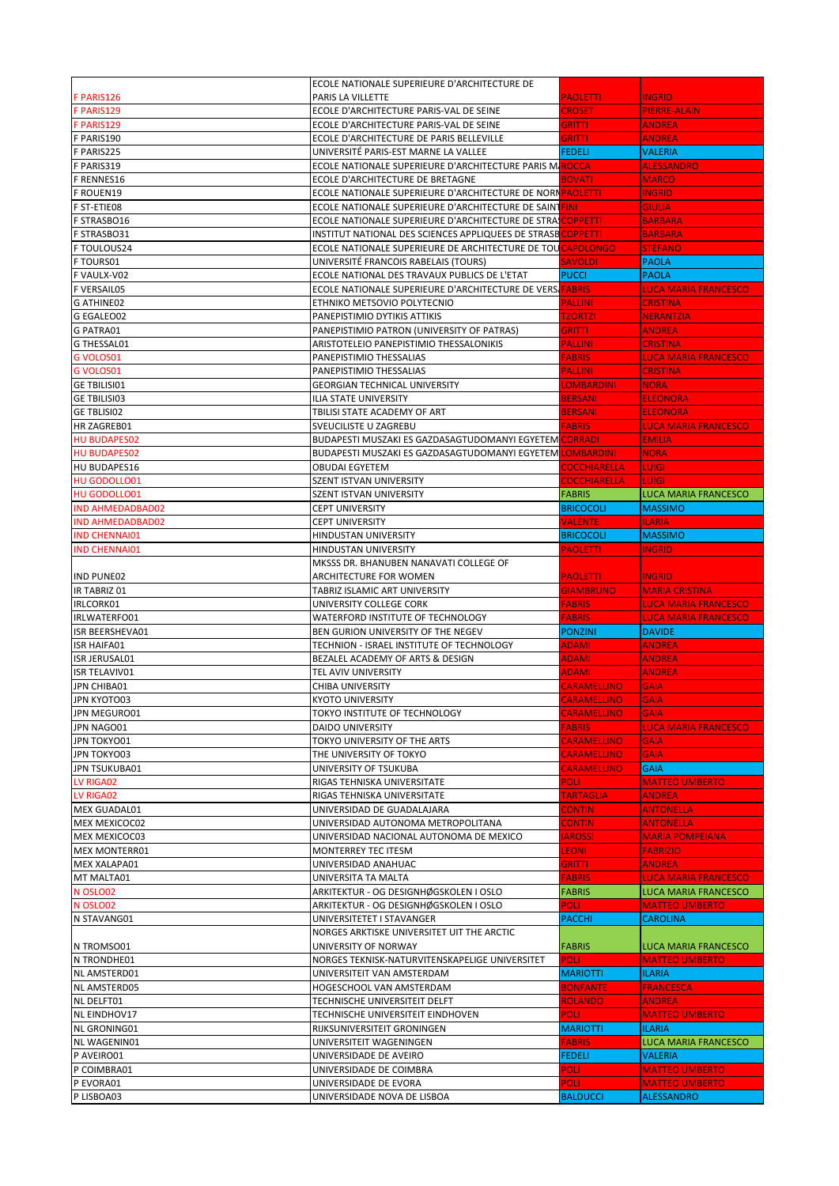|                           | ECOLE NATIONALE SUPERIEURE D'ARCHITECTURE DE                             |                     |                             |
|---------------------------|--------------------------------------------------------------------------|---------------------|-----------------------------|
| F PARIS126                | PARIS LA VILLETTE                                                        | <b>PAOLETTI</b>     | <b>INGRID</b>               |
| F PARIS129                | ECOLE D'ARCHITECTURE PARIS-VAL DE SEINE                                  | <b>CROSET</b>       | <b>PIERRE-ALAIN</b>         |
| F PARIS129                | ECOLE D'ARCHITECTURE PARIS-VAL DE SEINE                                  | GRITTI              | <b>ANDREA</b>               |
| F PARIS190                | ECOLE D'ARCHITECTURE DE PARIS BELLEVILLE                                 | GRITTI              | <b>ANDREA</b>               |
| F PARIS225                | UNIVERSITÉ PARIS-EST MARNE LA VALLEE                                     | <b>FEDELI</b>       | <b>VALERIA</b>              |
| F PARIS319                | ECOLE NATIONALE SUPERIEURE D'ARCHITECTURE PARIS MAROCCA                  |                     | <b>ALESSANDRO</b>           |
| F RENNES16                | ECOLE D'ARCHITECTURE DE BRETAGNE                                         | <b>BOVATI</b>       | <b>MARCO</b>                |
| F ROUEN19                 | ECOLE NATIONALE SUPERIEURE D'ARCHITECTURE DE NORN PAOLETTI               |                     | <b>INGRID</b>               |
| F ST-ETIE08               | ECOLE NATIONALE SUPERIEURE D'ARCHITECTURE DE SAINTEINI                   |                     | <b>GIULIA</b>               |
| F STRASBO16               | ECOLE NATIONALE SUPERIEURE D'ARCHITECTURE DE STRA <mark>ICOPPETTI</mark> |                     | <b>BARBARA</b>              |
| F STRASBO31               | INSTITUT NATIONAL DES SCIENCES APPLIQUEES DE STRASBCOPPETTI              |                     | <b>BARBARA</b>              |
| F TOULOUS24               | ECOLE NATIONALE SUPERIEURE DE ARCHITECTURE DE TOUCAPOLONGO               |                     | <b>STEFANO</b>              |
| F TOURS01                 | UNIVERSITÉ FRANCOIS RABELAIS (TOURS)                                     | <b>SAVOLDI</b>      | <b>PAOLA</b>                |
| F VAULX-V02               | ECOLE NATIONAL DES TRAVAUX PUBLICS DE L'ETAT                             | <b>PUCCI</b>        | <b>PAOLA</b>                |
| F VERSAIL05               | ECOLE NATIONALE SUPERIEURE D'ARCHITECTURE DE VERSIFABRIS                 |                     | <b>LUCA MARIA FRANCESCO</b> |
| G ATHINE02                | ETHNIKO METSOVIO POLYTECNIO                                              | <b>PALLINI</b>      | <b>CRISTINA</b>             |
| G EGALEO02                | PANEPISTIMIO DYTIKIS ATTIKIS                                             | <b>TZORTZI</b>      | <b>NERANTZIA</b>            |
| G PATRA01                 | PANEPISTIMIO PATRON (UNIVERSITY OF PATRAS)                               | GRITTI              | <b>ANDREA</b>               |
| G THESSAL01               | ARISTOTELEIO PANEPISTIMIO THESSALONIKIS                                  | PALLINI             | <b>CRISTINA</b>             |
| G VOLOS01                 | PANEPISTIMIO THESSALIAS                                                  | <b>FABRIS</b>       | <b>LUCA MARIA FRANCESCO</b> |
| G VOLOS01                 | PANEPISTIMIO THESSALIAS                                                  | <b>PALLINI</b>      | <b>CRISTINA</b>             |
| <b>GE TBILISI01</b>       | <b>GEORGIAN TECHNICAL UNIVERSITY</b>                                     | <b>LOMBARDINI</b>   | <b>NORA</b>                 |
| <b>GE TBILISI03</b>       | <b>ILIA STATE UNIVERSITY</b>                                             | <b>BERSANI</b>      | <b>ELEONORA</b>             |
| <b>GE TBLISI02</b>        | TBILISI STATE ACADEMY OF ART                                             | <b>BERSANI</b>      | <b>ELEONORA</b>             |
| HR ZAGREB01               | <b>SVEUCILISTE U ZAGREBU</b>                                             | <b>FABRIS</b>       | <b>LUCA MARIA FRANCESCO</b> |
| <b>HU BUDAPES02</b>       | BUDAPESTI MUSZAKI ES GAZDASAGTUDOMANYI EGYETEM <mark>I CORRADI</mark>    |                     | <b>EMILIA</b>               |
| <b>HU BUDAPES02</b>       | BUDAPESTI MUSZAKI ES GAZDASAGTUDOMANYI EGYETEM                           | <b>LOMBARDINI</b>   | <b>NORA</b>                 |
| HU BUDAPES16              | <b>OBUDAI EGYETEM</b>                                                    | <b>COCCHIARELLA</b> | <b>LUIGI</b>                |
| HU GODOLLO01              | SZENT ISTVAN UNIVERSITY                                                  | <b>COCCHIARELLA</b> | <b>LUIGI</b>                |
| HU GODOLLO01              | SZENT ISTVAN UNIVERSITY                                                  | <b>FABRIS</b>       | <b>LUCA MARIA FRANCESCO</b> |
| <b>IND AHMEDADBAD02</b>   | <b>CEPT UNIVERSITY</b>                                                   | <b>BRICOCOLI</b>    | <b>MASSIMO</b>              |
| <b>IND AHMEDADBAD02</b>   | <b>CEPT UNIVERSITY</b>                                                   | <b>VALENTE</b>      | <b>ILARIA</b>               |
| <b>IND CHENNAIO1</b>      | HINDUSTAN UNIVERSITY                                                     | <b>BRICOCOLI</b>    | <b>MASSIMO</b>              |
| <b>IND CHENNAIO1</b>      | HINDUSTAN UNIVERSITY                                                     | <b>PAOLETTI</b>     | <b>INGRID</b>               |
|                           | MKSSS DR. BHANUBEN NANAVATI COLLEGE OF                                   |                     |                             |
| <b>IND PUNE02</b>         | ARCHITECTURE FOR WOMEN                                                   | <b>PAOLETTI</b>     | <b>INGRID</b>               |
|                           |                                                                          |                     |                             |
| IR TABRIZ 01              | TABRIZ ISLAMIC ART UNIVERSITY                                            | <b>GIAMBRUNO</b>    | <b>MARIA CRISTINA</b>       |
| IRLCORK01                 | UNIVERSITY COLLEGE CORK                                                  | <b>FABRIS</b>       | <b>LUCA MARIA FRANCESCO</b> |
| IRLWATERFO01              | WATERFORD INSTITUTE OF TECHNOLOGY                                        | <b>FABRIS</b>       | <b>LUCA MARIA FRANCESCO</b> |
| <b>ISR BEERSHEVA01</b>    | BEN GURION UNIVERSITY OF THE NEGEV                                       | <b>PONZINI</b>      | <b>DAVIDE</b>               |
| <b>ISR HAIFA01</b>        | TECHNION - ISRAEL INSTITUTE OF TECHNOLOGY                                | <b>ADAMI</b>        | <b>ANDREA</b>               |
| <b>ISR JERUSAL01</b>      | BEZALEL ACADEMY OF ARTS & DESIGN                                         | <b>ADAMI</b>        | <b>ANDREA</b>               |
| <b>ISR TELAVIV01</b>      | TEL AVIV UNIVERSITY                                                      | <b>ADAMI</b>        | <b>ANDREA</b>               |
| JPN CHIBA01               | <b>CHIBA UNIVERSITY</b>                                                  | <b>CARAMELLINO</b>  | <b>GAIA</b>                 |
| JPN KYOTO03               | <b>KYOTO UNIVERSITY</b>                                                  | CARAMELLINO         | <b>GAIA</b>                 |
| JPN MEGURO01              | TOKYO INSTITUTE OF TECHNOLOGY                                            | <b>CARAMELLINO</b>  | <b>GAIA</b>                 |
| JPN NAGO01                | <b>DAIDO UNIVERSITY</b>                                                  | <b>FABRIS</b>       | LUCA MARIA FRANCESCO        |
| JPN TOKYO01               | TOKYO UNIVERSITY OF THE ARTS                                             | CARAMELLINO         | <b>GAIA</b>                 |
| JPN TOKYO03               | THE UNIVERSITY OF TOKYO                                                  | <b>CARAMELLINO</b>  | <b>GAIA</b>                 |
| JPN TSUKUBA01             | UNIVERSITY OF TSUKUBA                                                    | <b>CARAMELLINO</b>  | <b>GAIA</b>                 |
| LV RIGA02                 | RIGAS TEHNISKA UNIVERSITATE                                              | <b>POLI</b>         | <b>MATTEO UMBERTO</b>       |
| LV RIGA02                 | RIGAS TEHNISKA UNIVERSITATE                                              | <b>TARTAGLIA</b>    | <b>ANDREA</b>               |
| <b>MEX GUADAL01</b>       | UNIVERSIDAD DE GUADALAJARA                                               | <b>CONTIN</b>       | <b>ANTONELLA</b>            |
| MEX MEXICOC02             | UNIVERSIDAD AUTONOMA METROPOLITANA                                       | <b>CONTIN</b>       | <b>ANTONELLA</b>            |
| MEX MEXICOC03             | UNIVERSIDAD NACIONAL AUTONOMA DE MEXICO                                  | <b>IAROSSI</b>      | <b>MARIA POMPEIANA</b>      |
| <b>MEX MONTERR01</b>      | MONTERREY TEC ITESM                                                      | <b>LEONI</b>        | <b>FABRIZIO</b>             |
| MEX XALAPA01              | UNIVERSIDAD ANAHUAC                                                      | GRITTI              | <b>ANDREA</b>               |
| MT MALTA01                | UNIVERSITA TA MALTA                                                      | <b>FABRIS</b>       | <b>LUCA MARIA FRANCESCO</b> |
| N OSLO02                  | ARKITEKTUR - OG DESIGNHØGSKOLEN I OSLO                                   | <b>FABRIS</b>       | <b>LUCA MARIA FRANCESCO</b> |
| N OSLO02                  | ARKITEKTUR - OG DESIGNHØGSKOLEN I OSLO                                   | POLI:               | <b>MATTEO UMBERTO</b>       |
| N STAVANG01               | UNIVERSITETET I STAVANGER                                                | <b>PACCHI</b>       | <b>CAROLINA</b>             |
|                           | NORGES ARKTISKE UNIVERSITET UIT THE ARCTIC<br>UNIVERSITY OF NORWAY       | <b>FABRIS</b>       | LUCA MARIA FRANCESCO        |
| N TROMSO01<br>N TRONDHE01 | NORGES TEKNISK-NATURVITENSKAPELIGE UNIVERSITET                           | <b>POLI</b>         | <b>MATTEO UMBERTO</b>       |
| NL AMSTERD01              | UNIVERSITEIT VAN AMSTERDAM                                               | <b>MARIOTTI</b>     | <b>ILARIA</b>               |
| <b>NL AMSTERD05</b>       | HOGESCHOOL VAN AMSTERDAM                                                 | <b>BONFANTE</b>     | <b>FRANCESCA</b>            |
| NL DELFT01                | TECHNISCHE UNIVERSITEIT DELFT                                            | <b>ROLANDO</b>      | <b>ANDREA</b>               |
| NL EINDHOV17              | TECHNISCHE UNIVERSITEIT EINDHOVEN                                        | POLI:               | <b>MATTEO UMBERTO</b>       |
| NL GRONING01              | RIJKSUNIVERSITEIT GRONINGEN                                              | <b>MARIOTTI</b>     | <b>ILARIA</b>               |
| NL WAGENIN01              | UNIVERSITEIT WAGENINGEN                                                  | <b>FABRIS</b>       | <b>LUCA MARIA FRANCESCO</b> |
| P AVEIRO01                | UNIVERSIDADE DE AVEIRO                                                   | <b>FEDELI</b>       | <b>VALERIA</b>              |
| P COIMBRA01               | UNIVERSIDADE DE COIMBRA                                                  | <b>POLI</b>         | <b>MATTEO UMBERTO</b>       |
| P EVORA01                 | UNIVERSIDADE DE EVORA                                                    | POLI                | <b>MATTEO UMBERTO</b>       |